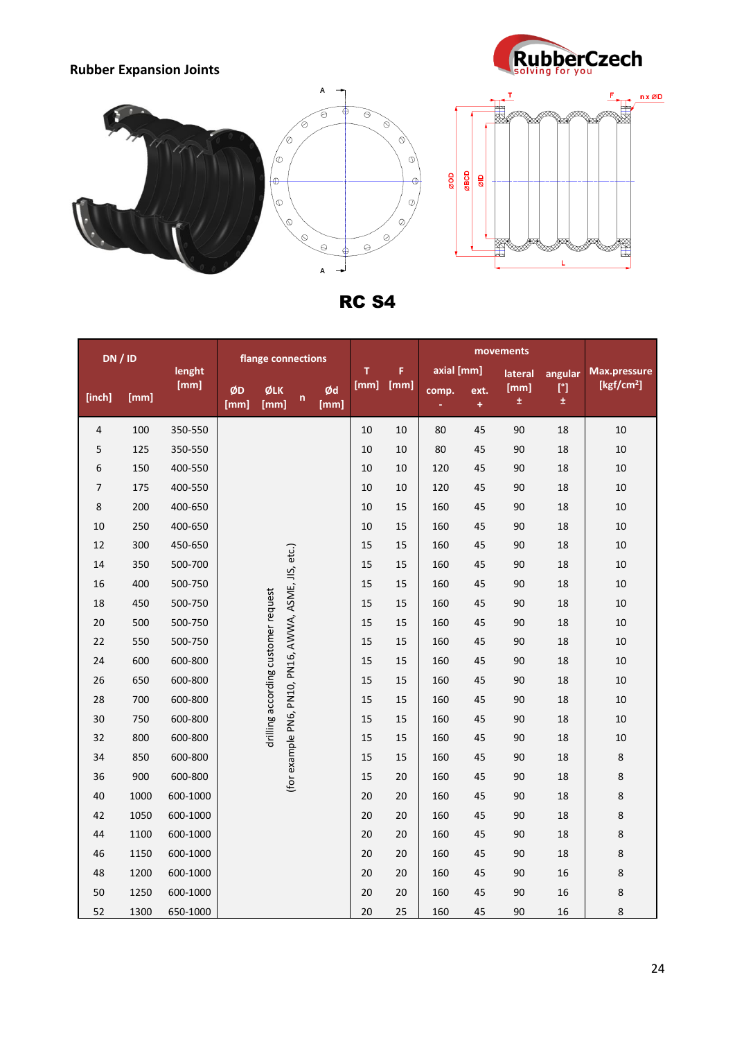





RC S4

| DN / ID        |      |          | flange connections                  |             |                                                      |            |      |            |       |           |            |                   |                        |
|----------------|------|----------|-------------------------------------|-------------|------------------------------------------------------|------------|------|------------|-------|-----------|------------|-------------------|------------------------|
|                |      | lenght   |                                     |             |                                                      | т          | F    | axial [mm] |       | lateral   | angular    | Max.pressure      |                        |
| [inch]         | [mm] | [mm]     | ØD<br>[mm]                          | ØLK<br>[mm] | $\mathsf{n}$                                         | Ød<br>[mm] | [mm] | [mm]       | comp. | ext.<br>÷ | [mm]<br>±. | $[^{\circ}]$<br>士 | [kgf/cm <sup>2</sup> ] |
| 4              | 100  | 350-550  |                                     |             |                                                      |            | 10   | 10         | 80    | 45        | 90         | 18                | $10\,$                 |
| 5              | 125  | 350-550  |                                     |             |                                                      |            | 10   | 10         | 80    | 45        | 90         | 18                | $10\,$                 |
| 6              | 150  | 400-550  |                                     |             | (for example PN6, PN10, PN16, AWWA, ASME, JIS, etc.) |            | 10   | 10         | 120   | 45        | 90         | 18                | 10                     |
| $\overline{7}$ | 175  | 400-550  |                                     |             |                                                      |            | 10   | 10         | 120   | 45        | 90         | 18                | $10\,$                 |
| 8              | 200  | 400-650  |                                     |             |                                                      |            | 10   | 15         | 160   | 45        | 90         | 18                | $10\,$                 |
| 10             | 250  | 400-650  |                                     |             |                                                      |            | 10   | 15         | 160   | 45        | 90         | 18                | $10\,$                 |
| 12             | 300  | 450-650  |                                     |             |                                                      |            | 15   | 15         | 160   | 45        | 90         | 18                | 10                     |
| 14             | 350  | 500-700  |                                     |             |                                                      |            | 15   | 15         | 160   | 45        | 90         | 18                | $10\,$                 |
| 16             | 400  | 500-750  |                                     |             |                                                      |            | 15   | 15         | 160   | 45        | 90         | 18                | $10\,$                 |
| 18             | 450  | 500-750  |                                     |             |                                                      |            | 15   | 15         | 160   | 45        | 90         | 18                | $10\,$                 |
| 20             | 500  | 500-750  |                                     |             |                                                      |            | 15   | 15         | 160   | 45        | 90         | 18                | 10                     |
| 22             | 550  | 500-750  |                                     |             |                                                      |            | 15   | 15         | 160   | 45        | 90         | 18                | $10\,$                 |
| 24             | 600  | 600-800  | drilling according customer request |             |                                                      |            | 15   | 15         | 160   | 45        | 90         | 18                | $10\,$                 |
| 26             | 650  | 600-800  |                                     |             |                                                      |            | 15   | 15         | 160   | 45        | 90         | 18                | 10                     |
| 28             | 700  | 600-800  |                                     |             |                                                      |            | 15   | 15         | 160   | 45        | 90         | 18                | 10                     |
| 30             | 750  | 600-800  |                                     |             |                                                      |            | 15   | 15         | 160   | 45        | 90         | 18                | 10                     |
| 32             | 800  | 600-800  |                                     |             |                                                      |            | 15   | 15         | 160   | 45        | 90         | 18                | 10                     |
| 34             | 850  | 600-800  |                                     |             |                                                      |            | 15   | 15         | 160   | 45        | 90         | 18                | $\bf 8$                |
| 36             | 900  | 600-800  |                                     |             |                                                      |            | 15   | 20         | 160   | 45        | 90         | 18                | 8                      |
| 40             | 1000 | 600-1000 |                                     |             |                                                      |            | 20   | 20         | 160   | 45        | 90         | 18                | 8                      |
| 42             | 1050 | 600-1000 |                                     |             |                                                      |            | 20   | 20         | 160   | 45        | 90         | 18                | 8                      |
| 44             | 1100 | 600-1000 |                                     |             |                                                      |            | 20   | 20         | 160   | 45        | 90         | 18                | 8                      |
| 46             | 1150 | 600-1000 |                                     |             |                                                      |            | 20   | 20         | 160   | 45        | 90         | 18                | 8                      |
| 48             | 1200 | 600-1000 |                                     |             |                                                      |            | 20   | 20         | 160   | 45        | 90         | 16                | 8                      |
| 50             | 1250 | 600-1000 |                                     |             |                                                      |            | 20   | 20         | 160   | 45        | 90         | 16                | 8                      |
| 52             | 1300 | 650-1000 |                                     |             |                                                      |            | 20   | 25         | 160   | 45        | 90         | 16                | 8                      |